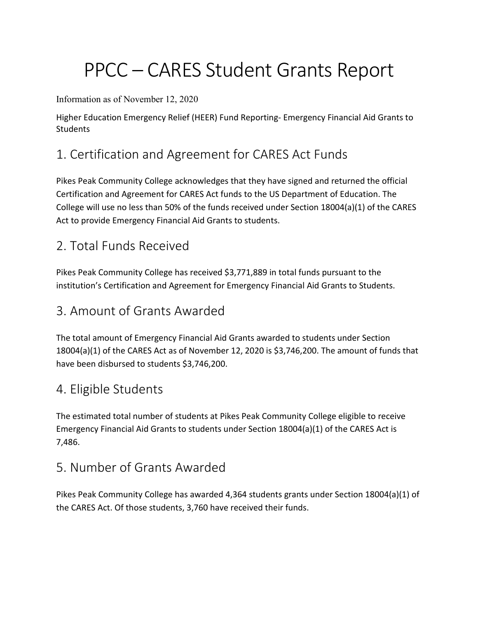# PPCC – CARES Student Grants Report

#### Information as of November 12, 2020

Higher Education Emergency Relief (HEER) Fund Reporting- Emergency Financial Aid Grants to **Students** 

## 1. Certification and Agreement for CARES Act Funds

Pikes Peak Community College acknowledges that they have signed and returned the official Certification and Agreement for CARES Act funds to the US Department of Education. The College will use no less than 50% of the funds received under Section 18004(a)(1) of the CARES Act to provide Emergency Financial Aid Grants to students.

### 2. Total Funds Received

Pikes Peak Community College has received \$3,771,889 in total funds pursuant to the institution's Certification and Agreement for Emergency Financial Aid Grants to Students.

### 3. Amount of Grants Awarded

The total amount of Emergency Financial Aid Grants awarded to students under Section 18004(a)(1) of the CARES Act as of November 12, 2020 is \$3,746,200. The amount of funds that have been disbursed to students \$3,746,200.

### 4. Eligible Students

The estimated total number of students at Pikes Peak Community College eligible to receive Emergency Financial Aid Grants to students under Section 18004(a)(1) of the CARES Act is 7,486.

### 5. Number of Grants Awarded

Pikes Peak Community College has awarded 4,364 students grants under Section 18004(a)(1) of the CARES Act. Of those students, 3,760 have received their funds.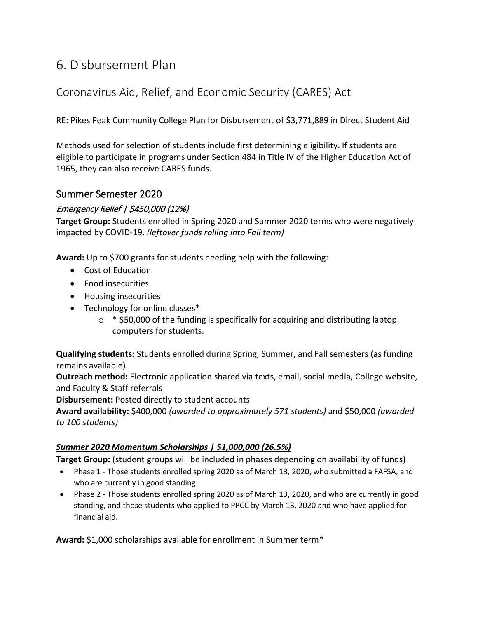### 6. Disbursement Plan

#### Coronavirus Aid, Relief, and Economic Security (CARES) Act

RE: Pikes Peak Community College Plan for Disbursement of \$3,771,889 in Direct Student Aid

Methods used for selection of students include first determining eligibility. If students are eligible to participate in programs under Section 484 in Title IV of the Higher Education Act of 1965, they can also receive CARES funds.

#### Summer Semester 2020

#### Emergency Relief | \$450,000 (12%)

**Target Group:** Students enrolled in Spring 2020 and Summer 2020 terms who were negatively impacted by COVID-19. *(leftover funds rolling into Fall term)*

**Award:** Up to \$700 grants for students needing help with the following:

- Cost of Education
- Food insecurities
- Housing insecurities
- Technology for online classes\*
	- $\circ$  \* \$50,000 of the funding is specifically for acquiring and distributing laptop computers for students.

**Qualifying students:** Students enrolled during Spring, Summer, and Fall semesters (as funding remains available).

**Outreach method:** Electronic application shared via texts, email, social media, College website, and Faculty & Staff referrals

**Disbursement:** Posted directly to student accounts

**Award availability:** \$400,000 *(awarded to approximately 571 students)* and \$50,000 *(awarded to 100 students)*

#### *Summer 2020 Momentum Scholarships | \$1,000,000 (26.5%)*

**Target Group:** (student groups will be included in phases depending on availability of funds)

- Phase 1 Those students enrolled spring 2020 as of March 13, 2020, who submitted a FAFSA, and who are currently in good standing.
- Phase 2 Those students enrolled spring 2020 as of March 13, 2020, and who are currently in good standing, and those students who applied to PPCC by March 13, 2020 and who have applied for financial aid.

**Award:** \$1,000 scholarships available for enrollment in Summer term\*